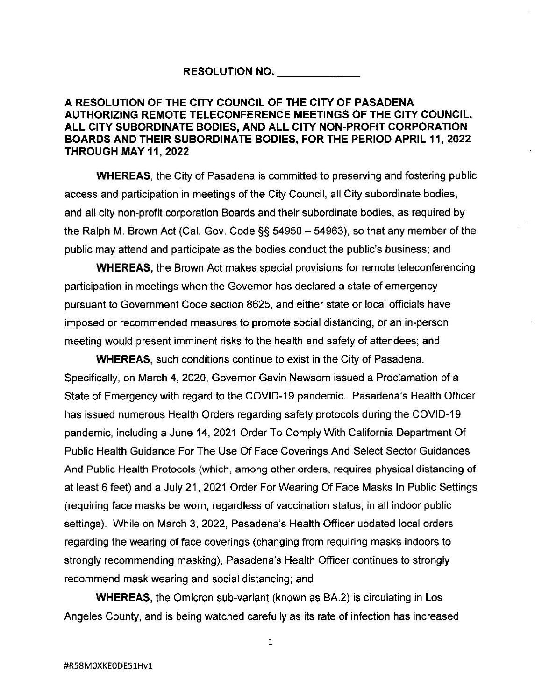## **RESOLUTION NO. \_\_\_\_ \_**

## **A RESOLUTION OF THE CITY COUNCIL OF THE CITY OF PASADENA AUTHORIZING REMOTE TELECONFERENCE MEETINGS OF THE CITY COUNCIL, ALL CITY SUBORDINATE BODIES, AND ALL CITY NON-PROFIT CORPORATION BOARDS AND THEIR SUBORDINATE BODIES, FOR THE PERIOD APRIL 11, 2022 THROUGH MAY 11, 2022**

**WHEREAS,** the City of Pasadena is committed to preserving and fostering public access and participation in meetings of the City Council, all City subordinate bodies, and all city non-profit corporation Boards and their subordinate bodies, as required by the Ralph M. Brown Act (Cal. Gov. Code  $\S$ § 54950 - 54963), so that any member of the public may attend and participate as the bodies conduct the public's business; and

**WHEREAS,** the Brown Act makes special provisions for remote teleconferencing participation in meetings when the Governor has declared a state of emergency pursuant to Government Code section 8625, and either state or local officials have imposed or recommended measures to promote social distancing, or an in-person meeting would present imminent risks to the health and safety of attendees; and

**WHEREAS,** such conditions continue to exist in the City of Pasadena. Specifically, on March 4, 2020, Governor Gavin Newsom issued a Proclamation of a State of Emergency with regard to the COVID-19 pandemic. Pasadena's Health Officer has issued numerous Health Orders regarding safety protocols during the COVID-19 pandemic, including a June 14, 2021 Order To Comply With California Department Of Public Health Guidance For The Use Of Face Coverings And Select Sector Guidances And Public Health Protocols (which, among other orders, requires physical distancing of at least 6 feet) and a July 21 , 2021 Order For Wearing Of Face Masks In Public Settings (requiring face masks be worn, regardless of vaccination status, in all indoor public settings). While on March 3, 2022, Pasadena's Health Officer updated local orders regarding the wearing of face coverings (changing from requiring masks indoors to strongly recommending masking), Pasadena's Health Officer continues to strongly recommend mask wearing and social distancing; and

**WHEREAS,** the Omicron sub-variant (known as BA.2) is circulating in Los Angeles County, and is being watched carefully as its rate of infection has increased

1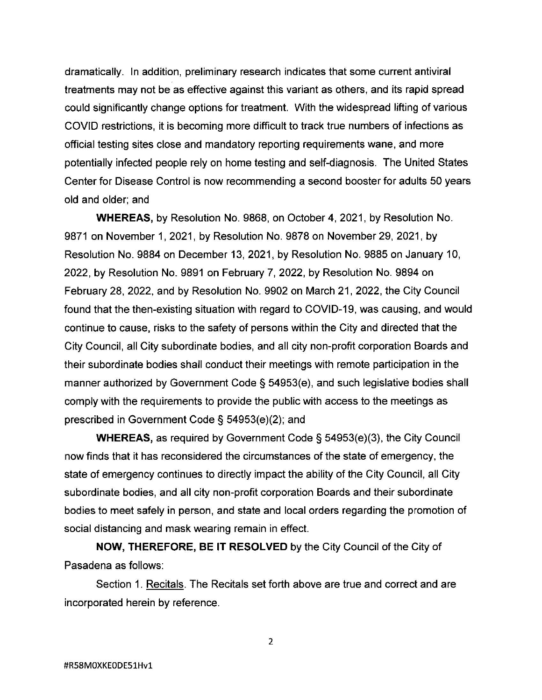dramatically. In addition, preliminary research indicates that some current antiviral treatments may not be as effective against this variant as others, and its rapid spread could significantly change options for treatment. With the widespread lifting of various COVID restrictions, it is becoming more difficult to track true numbers of infections as official testing sites close and mandatory reporting requirements wane, and more potentially infected people rely on home testing and self-diagnosis. The United States Center for Disease Control is now recommending a second booster for adults 50 years old and older; and

**WHEREAS,** by Resolution No. 9868, on October 4, 2021, by Resolution No. 9871 on November 1, 2021, by Resolution No. 9878 on November 29, 2021, by Resolution No. 9884 on December 13, 2021, by Resolution No. 9885 on January 10, 2022, by Resolution No. 9891 on February 7, 2022, by Resolution No. 9894 on February 28, 2022, and by Resolution No. 9902 on March 21, 2022, the City Council found that the then-existing situation with regard to COVID-19, was causing, and would continue to cause, risks to the safety of persons within the City and directed that the City Council, all City subordinate bodies, and all city non-profit corporation Boards and their subordinate bodies shall conduct their meetings with remote participation in the manner authorized by Government Code§ 54953(e), and such legislative bodies shall comply with the requirements to provide the public with access to the meetings as prescribed in Government Code§ 54953(e)(2); and

**WHEREAS,** as required by Government Code § 54953(e)(3), the City Council now finds that it has reconsidered the circumstances of the state of emergency, the state of emergency continues to directly impact the ability of the City Council, all City subordinate bodies, and all city non-profit corporation Boards and their subordinate bodies to meet safely in person, and state and local orders regarding the promotion of social distancing and mask wearing remain in effect.

**NOW, THEREFORE, BE IT RESOLVED** by the City Council of the City of Pasadena as follows:

Section 1. Recitals. The Recitals set forth above are true and correct and are incorporated herein by reference.

2